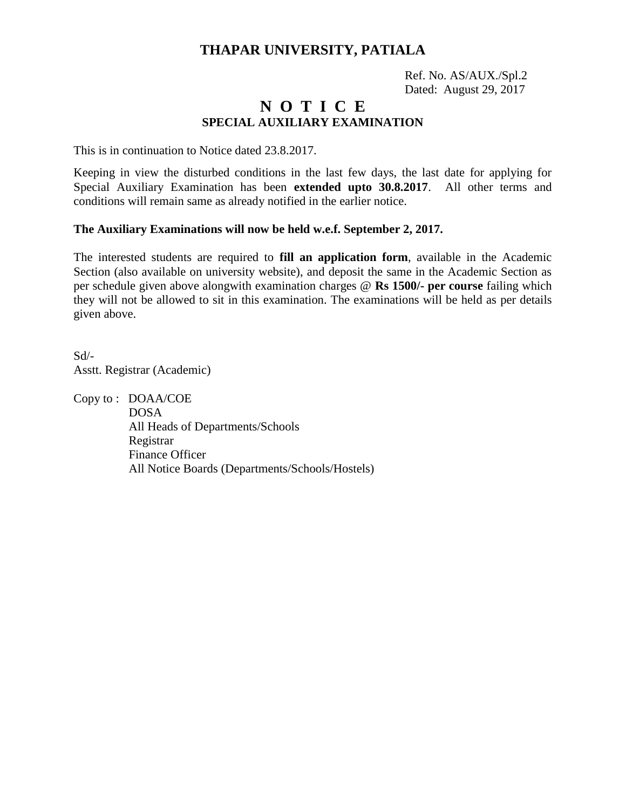## **THAPAR UNIVERSITY, PATIALA**

 Ref. No. AS/AUX./Spl.2 Dated: August 29, 2017

## **N O T I C E SPECIAL AUXILIARY EXAMINATION**

This is in continuation to Notice dated 23.8.2017.

Keeping in view the disturbed conditions in the last few days, the last date for applying for Special Auxiliary Examination has been **extended upto 30.8.2017**. All other terms and conditions will remain same as already notified in the earlier notice.

### **The Auxiliary Examinations will now be held w.e.f. September 2, 2017.**

The interested students are required to **fill an application form**, available in the Academic Section (also available on university website), and deposit the same in the Academic Section as per schedule given above alongwith examination charges @ **Rs 1500/- per course** failing which they will not be allowed to sit in this examination. The examinations will be held as per details given above.

Sd/- Asstt. Registrar (Academic)

Copy to : DOAA/COE

 DOSA All Heads of Departments/Schools Registrar Finance Officer All Notice Boards (Departments/Schools/Hostels)